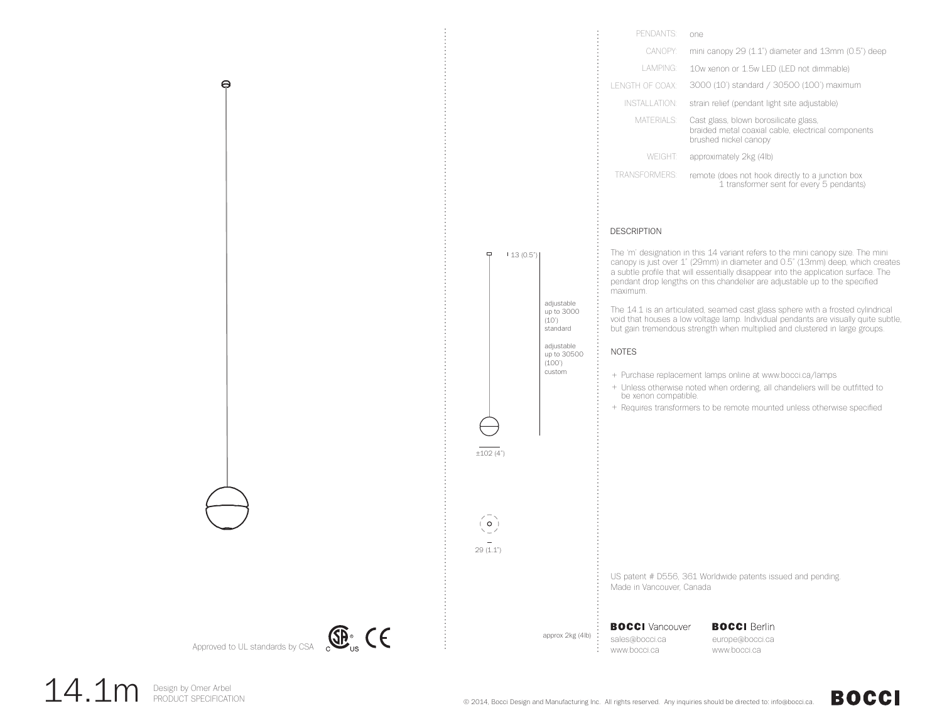

14.1m Design by Omer Arbel

**BOCCI**